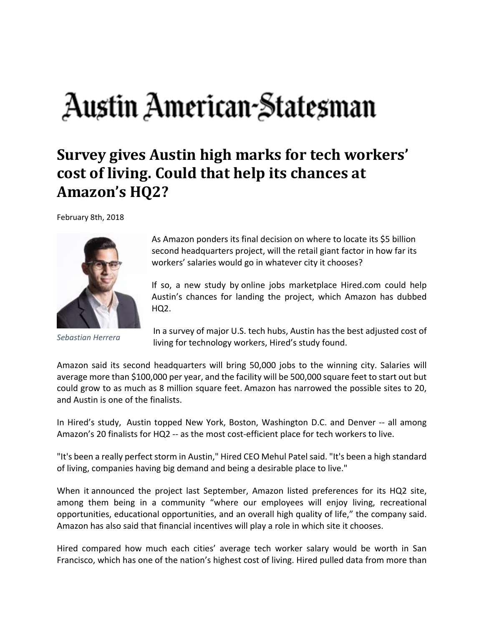## Austin American-Statesman

## **Survey gives Austin high marks for tech workers' cost of living. Could that help its chances at Amazon's HQ2?**

February 8th, 2018



*Sebastian Herrera*

As Amazon ponders its final decision on where to locate its \$5 billion second headquarters project, will the retail giant factor in how far its workers' salaries would go in whatever city it chooses?

If so, a new study by online jobs marketplace Hired.com could help Austin's chances for landing the project, which Amazon has dubbed HQ2.

In a survey of major U.S. tech hubs, Austin has the best adjusted cost of living for technology workers, Hired's study found.

Amazon said its second headquarters will bring 50,000 jobs to the winning city. Salaries will average more than \$100,000 per year, and the facility will be 500,000 square feet to start out but could grow to as much as 8 million square feet. Amazon has narrowed the possible sites to 20, and Austin is one of the finalists.

In Hired's study, Austin topped New York, Boston, Washington D.C. and Denver ‐‐ all among Amazon's 20 finalists for HQ2 -- as the most cost-efficient place for tech workers to live.

"It's been a really perfect storm in Austin," Hired CEO Mehul Patel said. "It's been a high standard of living, companies having big demand and being a desirable place to live."

When it announced the project last September, Amazon listed preferences for its HQ2 site, among them being in a community "where our employees will enjoy living, recreational opportunities, educational opportunities, and an overall high quality of life," the company said. Amazon has also said that financial incentives will play a role in which site it chooses.

Hired compared how much each cities' average tech worker salary would be worth in San Francisco, which has one of the nation's highest cost of living. Hired pulled data from more than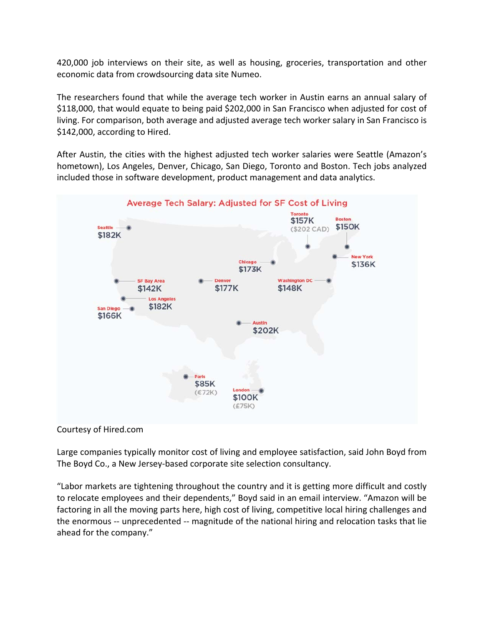420,000 job interviews on their site, as well as housing, groceries, transportation and other economic data from crowdsourcing data site Numeo.

The researchers found that while the average tech worker in Austin earns an annual salary of \$118,000, that would equate to being paid \$202,000 in San Francisco when adjusted for cost of living. For comparison, both average and adjusted average tech worker salary in San Francisco is \$142,000, according to Hired.

After Austin, the cities with the highest adjusted tech worker salaries were Seattle (Amazon's hometown), Los Angeles, Denver, Chicago, San Diego, Toronto and Boston. Tech jobs analyzed included those in software development, product management and data analytics.



## Courtesy of Hired.com

Large companies typically monitor cost of living and employee satisfaction, said John Boyd from The Boyd Co., a New Jersey‐based corporate site selection consultancy.

"Labor markets are tightening throughout the country and it is getting more difficult and costly to relocate employees and their dependents," Boyd said in an email interview. "Amazon will be factoring in all the moving parts here, high cost of living, competitive local hiring challenges and the enormous ‐‐ unprecedented ‐‐ magnitude of the national hiring and relocation tasks that lie ahead for the company."